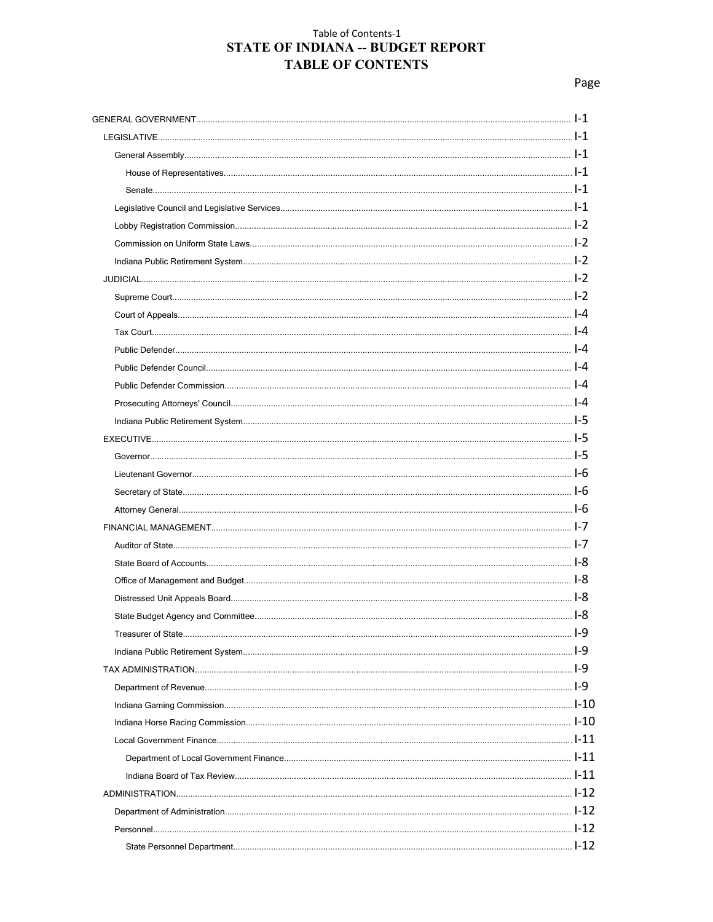# Table of Contents-1 STATE OF INDIANA -- BUDGET REPORT **TABLE OF CONTENTS**

Page

| 9-ا . |
|-------|
|       |
|       |
|       |
|       |
|       |
|       |
|       |
|       |
|       |
|       |
|       |
|       |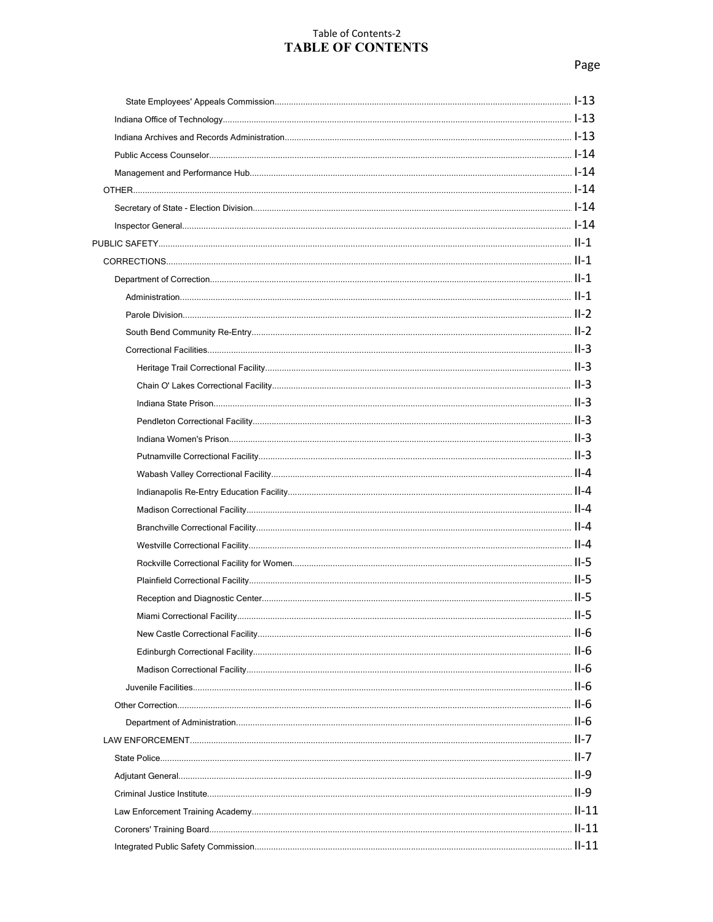# Table of Contents-2 **TABLE OF CONTENTS**

| $II-5$ |
|--------|
|        |
|        |
|        |
|        |
|        |
|        |
|        |
|        |
|        |
|        |
|        |
|        |
|        |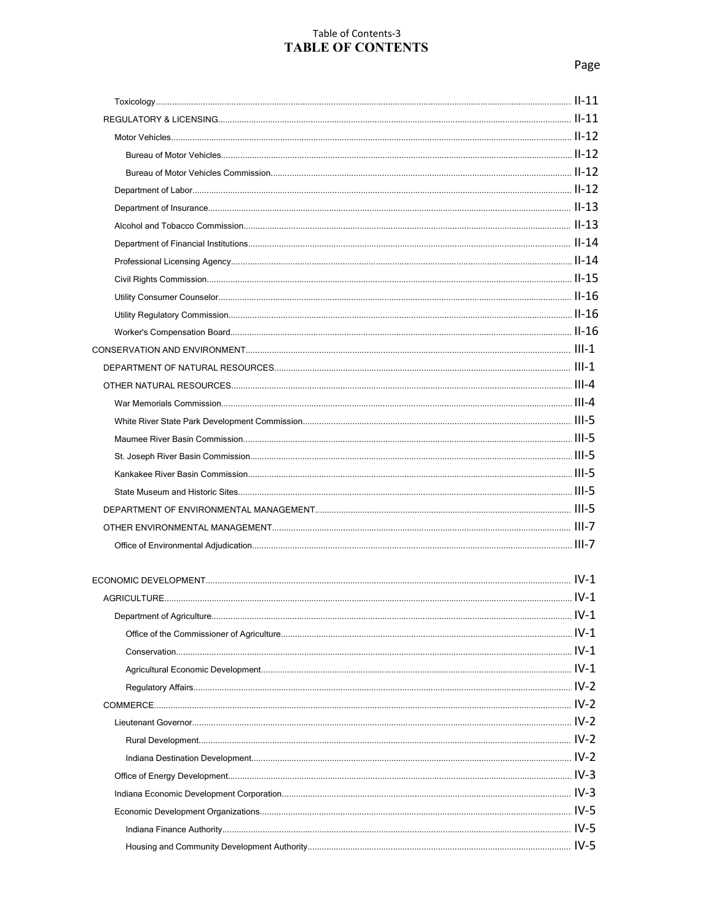## Table of Contents-3 **TABLE OF CONTENTS**

| $IV-1$ |
|--------|

| $IV-1$ |
|--------|
|        |
|        |
|        |
| $IV-2$ |
| $IV-2$ |
|        |
|        |
|        |
| $IV-3$ |
|        |
|        |
|        |
| $IV-5$ |
|        |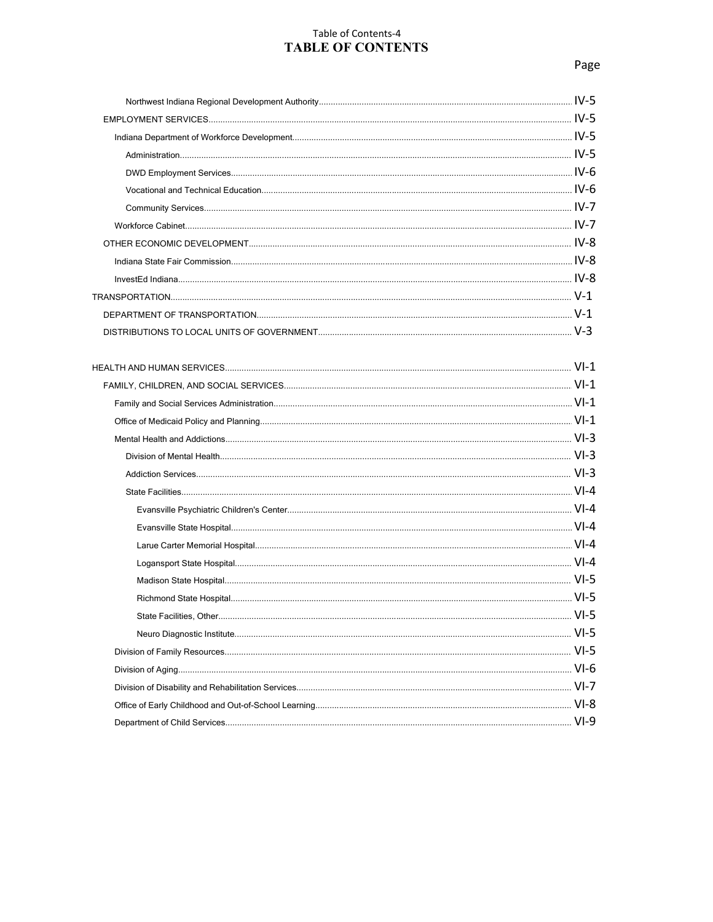# Table of Contents-4 **TABLE OF CONTENTS**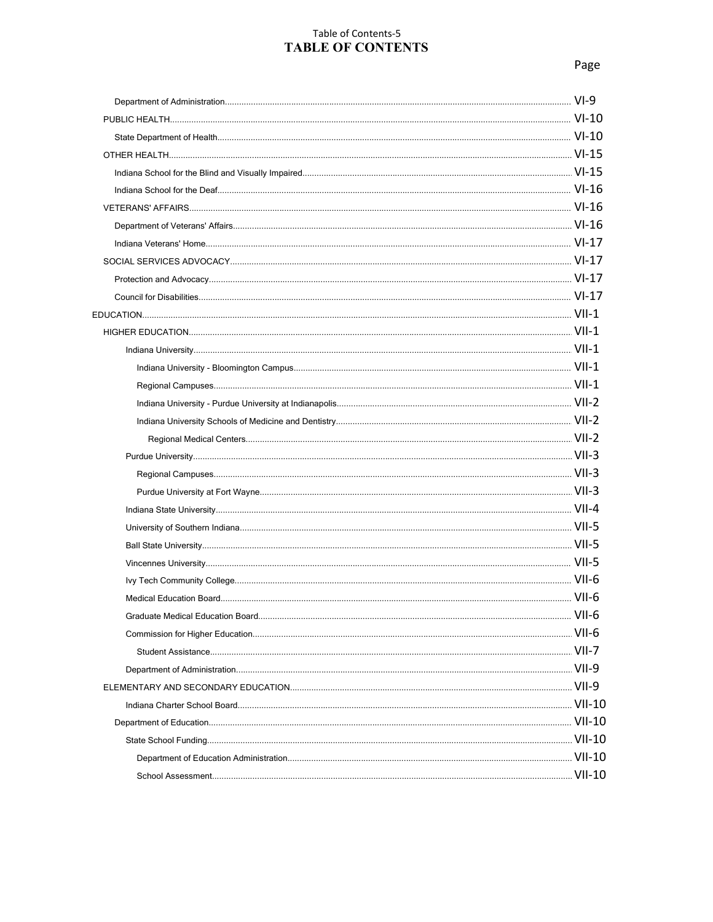# Table of Contents-5 **TABLE OF CONTENTS**

|                   | VII-6    |
|-------------------|----------|
|                   |          |
|                   |          |
|                   |          |
|                   |          |
|                   |          |
|                   |          |
|                   |          |
|                   |          |
| School Assessment | $VII-10$ |